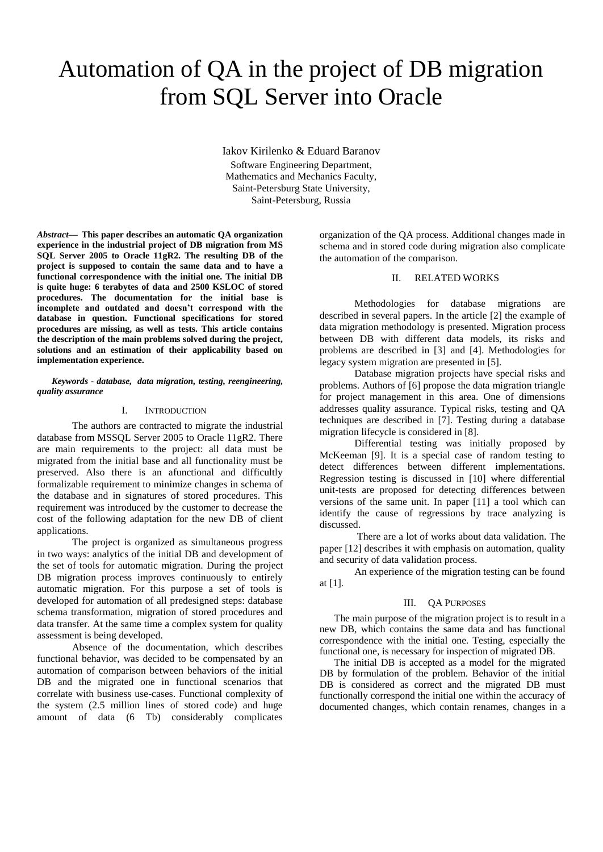# Automation of QA in the project of DB migration from SQL Server into Oracle

Iakov Kirilenko & Eduard Baranov Software Engineering Department, Mathematics and Mechanics Faculty, Saint-Petersburg State University, Saint-Petersburg, Russia

*Abstract***— This paper describes an automatic QA organization experience in the industrial project of DB migration from MS SQL Server 2005 to Oracle 11gR2. The resulting DB of the project is supposed to contain the same data and to have a functional correspondence with the initial one. The initial DB is quite huge: 6 terabytes of data and 2500 KSLOC of stored procedures. The documentation for the initial base is incomplete and outdated and doesn't correspond with the database in question. Functional specifications for stored procedures are missing, as well as tests. This article contains the description of the main problems solved during the project, solutions and an estimation of their applicability based on implementation experience.**

#### *Keywords - database, data migration, testing, reengineering, quality assurance*

#### I. INTRODUCTION

The authors are contracted to migrate the industrial database from MSSQL Server 2005 to Oracle 11gR2. There are main requirements to the project: all data must be migrated from the initial base and all functionality must be preserved. Also there is an afunctional and difficultly formalizable requirement to minimize changes in schema of the database and in signatures of stored procedures. This requirement was introduced by the customer to decrease the cost of the following adaptation for the new DB of client applications.

The project is organized as simultaneous progress in two ways: analytics of the initial DB and development of the set of tools for automatic migration. During the project DB migration process improves continuously to entirely automatic migration. For this purpose a set of tools is developed for automation of all predesigned steps: database schema transformation, migration of stored procedures and data transfer. At the same time a complex system for quality assessment is being developed.

Absence of the documentation, which describes functional behavior, was decided to be compensated by an automation of comparison between behaviors of the initial DB and the migrated one in functional scenarios that correlate with business use-cases. Functional complexity of the system (2.5 million lines of stored code) and huge amount of data (6 Tb) considerably complicates

organization of the QA process. Additional changes made in schema and in stored code during migration also complicate the automation of the comparison.

#### II. RELATED WORKS

Methodologies for database migrations are described in several papers. In the article [2] the example of data migration methodology is presented. Migration process between DB with different data models, its risks and problems are described in [3] and [4]. Methodologies for legacy system migration are presented in [5].

Database migration projects have special risks and problems. Authors of [6] propose the data migration triangle for project management in this area. One of dimensions addresses quality assurance. Typical risks, testing and QA techniques are described in [7]. Testing during a database migration lifecycle is considered in [8].

Differential testing was initially proposed by McKeeman [9]. It is a special case of random testing to detect differences between different implementations. Regression testing is discussed in [10] where differential unit-tests are proposed for detecting differences between versions of the same unit. In paper [11] a tool which can identify the cause of regressions by trace analyzing is discussed.

There are a lot of works about data validation. The paper [12] describes it with emphasis on automation, quality and security of data validation process.

An experience of the migration testing can be found at [1].

# III. QA PURPOSES

The main purpose of the migration project is to result in a new DB, which contains the same data and has functional correspondence with the initial one. Testing, especially the functional one, is necessary for inspection of migrated DB.

The initial DB is accepted as a model for the migrated DB by formulation of the problem. Behavior of the initial DB is considered as correct and the migrated DB must functionally correspond the initial one within the accuracy of documented changes, which contain renames, changes in a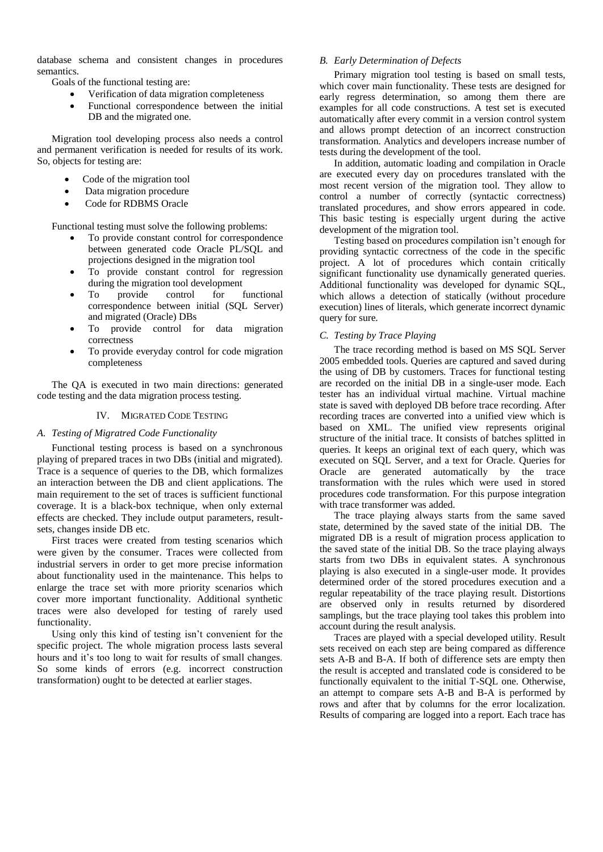database schema and consistent changes in procedures semantics.

Goals of the functional testing are:

- Verification of data migration completeness
- Functional correspondence between the initial DB and the migrated one.

Migration tool developing process also needs a control and permanent verification is needed for results of its work. So, objects for testing are:

- Code of the migration tool
- Data migration procedure
- Code for RDBMS Oracle

Functional testing must solve the following problems:

- To provide constant control for correspondence between generated code Oracle PL/SQL and projections designed in the migration tool
- To provide constant control for regression during the migration tool development
- To provide control for functional correspondence between initial (SQL Server) and migrated (Oracle) DBs
- To provide control for data migration correctness
- To provide everyday control for code migration completeness

The QA is executed in two main directions: generated code testing and the data migration process testing.

# IV. MIGRATED CODE TESTING

# *A. Testing of Migratred Code Functionality*

Functional testing process is based on a synchronous playing of prepared traces in two DBs (initial and migrated). Trace is a sequence of queries to the DB, which formalizes an interaction between the DB and client applications. The main requirement to the set of traces is sufficient functional coverage. It is a black-box technique, when only external effects are checked. They include output parameters, resultsets, changes inside DB etc.

First traces were created from testing scenarios which were given by the consumer. Traces were collected from industrial servers in order to get more precise information about functionality used in the maintenance. This helps to enlarge the trace set with more priority scenarios which cover more important functionality. Additional synthetic traces were also developed for testing of rarely used functionality.

Using only this kind of testing isn't convenient for the specific project. The whole migration process lasts several hours and it's too long to wait for results of small changes. So some kinds of errors (e.g. incorrect construction transformation) ought to be detected at earlier stages.

# *B. Early Determination of Defects*

Primary migration tool testing is based on small tests, which cover main functionality. These tests are designed for early regress determination, so among them there are examples for all code constructions. A test set is executed automatically after every commit in a version control system and allows prompt detection of an incorrect construction transformation. Analytics and developers increase number of tests during the development of the tool.

In addition, automatic loading and compilation in Oracle are executed every day on procedures translated with the most recent version of the migration tool. They allow to control a number of correctly (syntactic correctness) translated procedures, and show errors appeared in code. This basic testing is especially urgent during the active development of the migration tool.

Testing based on procedures compilation isn't enough for providing syntactic correctness of the code in the specific project. A lot of procedures which contain critically significant functionality use dynamically generated queries. Additional functionality was developed for dynamic SQL, which allows a detection of statically (without procedure execution) lines of literals, which generate incorrect dynamic query for sure.

# *C. Testing by Trace Playing*

The trace recording method is based on MS SQL Server 2005 embedded tools. Queries are captured and saved during the using of DB by customers. Traces for functional testing are recorded on the initial DB in a single-user mode. Each tester has an individual virtual machine. Virtual machine state is saved with deployed DB before trace recording. After recording traces are converted into a unified view which is based on XML. The unified view represents original structure of the initial trace. It consists of batches splitted in queries. It keeps an original text of each query, which was executed on SQL Server, and a text for Oracle. Queries for Oracle are generated automatically by the trace transformation with the rules which were used in stored procedures code transformation. For this purpose integration with trace transformer was added.

The trace playing always starts from the same saved state, determined by the saved state of the initial DB. The migrated DB is a result of migration process application to the saved state of the initial DB. So the trace playing always starts from two DBs in equivalent states. A synchronous playing is also executed in a single-user mode. It provides determined order of the stored procedures execution and a regular repeatability of the trace playing result. Distortions are observed only in results returned by disordered samplings, but the trace playing tool takes this problem into account during the result analysis.

Traces are played with a special developed utility. Result sets received on each step are being compared as difference sets A-B and B-A. If both of difference sets are empty then the result is accepted and translated code is considered to be functionally equivalent to the initial T-SQL one. Otherwise, an attempt to compare sets A-B and B-A is performed by rows and after that by columns for the error localization. Results of comparing are logged into a report. Each trace has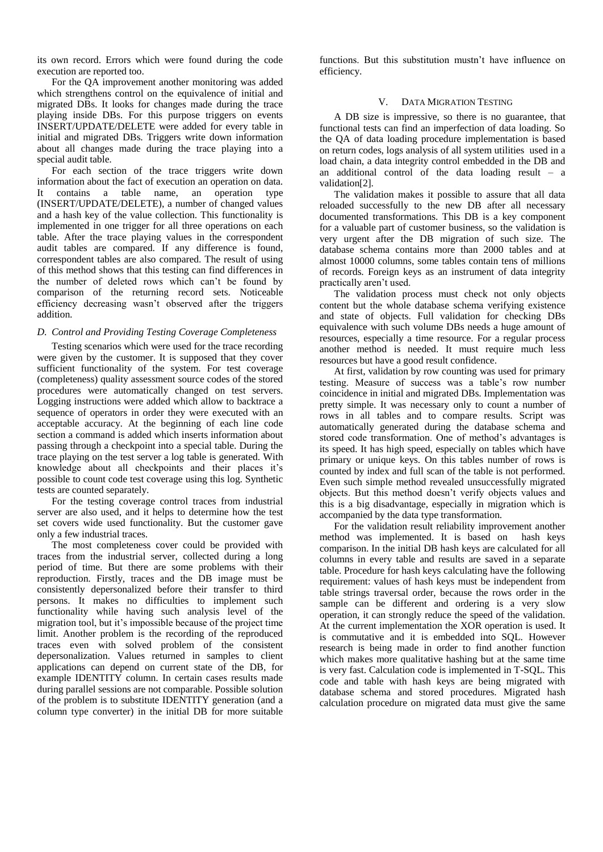its own record. Errors which were found during the code execution are reported too.

For the QA improvement another monitoring was added which strengthens control on the equivalence of initial and migrated DBs. It looks for changes made during the trace playing inside DBs. For this purpose triggers on events INSERT/UPDATE/DELETE were added for every table in initial and migrated DBs. Triggers write down information about all changes made during the trace playing into a special audit table.

For each section of the trace triggers write down information about the fact of execution an operation on data. It contains a table name, an operation type (INSERT/UPDATE/DELETE), a number of changed values and a hash key of the value collection. This functionality is implemented in one trigger for all three operations on each table. After the trace playing values in the correspondent audit tables are compared. If any difference is found, correspondent tables are also compared. The result of using of this method shows that this testing can find differences in the number of deleted rows which can't be found by comparison of the returning record sets. Noticeable efficiency decreasing wasn't observed after the triggers addition.

# *D. Control and Providing Testing Coverage Completeness*

Testing scenarios which were used for the trace recording were given by the customer. It is supposed that they cover sufficient functionality of the system. For test coverage (completeness) quality assessment source codes of the stored procedures were automatically changed on test servers. Logging instructions were added which allow to backtrace a sequence of operators in order they were executed with an acceptable accuracy. At the beginning of each line code section a command is added which inserts information about passing through a checkpoint into a special table. During the trace playing on the test server a log table is generated. With knowledge about all checkpoints and their places it's possible to count code test coverage using this log. Synthetic tests are counted separately.

For the testing coverage control traces from industrial server are also used, and it helps to determine how the test set covers wide used functionality. But the customer gave only a few industrial traces.

The most completeness cover could be provided with traces from the industrial server, collected during a long period of time. But there are some problems with their reproduction. Firstly, traces and the DB image must be consistently depersonalized before their transfer to third persons. It makes no difficulties to implement such functionality while having such analysis level of the migration tool, but it's impossible because of the project time limit. Another problem is the recording of the reproduced traces even with solved problem of the consistent depersonalization. Values returned in samples to client applications can depend on current state of the DB, for example IDENTITY column. In certain cases results made during parallel sessions are not comparable. Possible solution of the problem is to substitute IDENTITY generation (and a column type converter) in the initial DB for more suitable

functions. But this substitution mustn't have influence on efficiency.

# V. DATA MIGRATION TESTING

A DB size is impressive, so there is no guarantee, that functional tests can find an imperfection of data loading. So the QA of data loading procedure implementation is based on return codes, logs analysis of all system utilities used in a load chain, a data integrity control embedded in the DB and an additional control of the data loading result – a validation[2].

The validation makes it possible to assure that all data reloaded successfully to the new DB after all necessary documented transformations. This DB is a key component for a valuable part of customer business, so the validation is very urgent after the DB migration of such size. The database schema contains more than 2000 tables and at almost 10000 columns, some tables contain tens of millions of records. Foreign keys as an instrument of data integrity practically aren't used.

The validation process must check not only objects content but the whole database schema verifying existence and state of objects. Full validation for checking DBs equivalence with such volume DBs needs a huge amount of resources, especially a time resource. For a regular process another method is needed. It must require much less resources but have a good result confidence.

At first, validation by row counting was used for primary testing. Measure of success was a table's row number coincidence in initial and migrated DBs. Implementation was pretty simple. It was necessary only to count a number of rows in all tables and to compare results. Script was automatically generated during the database schema and stored code transformation. One of method's advantages is its speed. It has high speed, especially on tables which have primary or unique keys. On this tables number of rows is counted by index and full scan of the table is not performed. Even such simple method revealed unsuccessfully migrated objects. But this method doesn't verify objects values and this is a big disadvantage, especially in migration which is accompanied by the data type transformation.

For the validation result reliability improvement another method was implemented. It is based on hash keys comparison. In the initial DB hash keys are calculated for all columns in every table and results are saved in a separate table. Procedure for hash keys calculating have the following requirement: values of hash keys must be independent from table strings traversal order, because the rows order in the sample can be different and ordering is a very slow operation, it can strongly reduce the speed of the validation. At the current implementation the XOR operation is used. It is commutative and it is embedded into SQL. However research is being made in order to find another function which makes more qualitative hashing but at the same time is very fast. Calculation code is implemented in T-SQL. This code and table with hash keys are being migrated with database schema and stored procedures. Migrated hash calculation procedure on migrated data must give the same